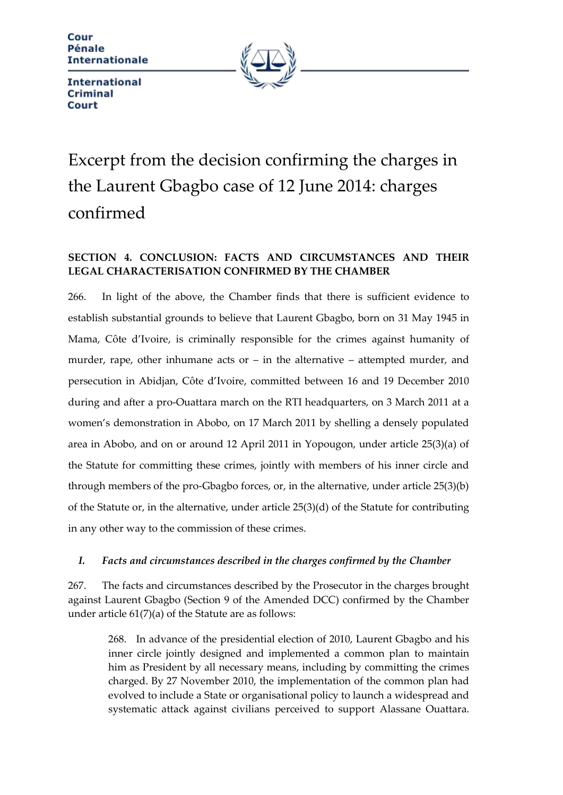Cour Pénale **Internationale** 



**International Criminal** Court

# Excerpt from the decision confirming the charges in the Laurent Gbagbo case of 12 June 2014: charges confirmed

# **SECTION 4. CONCLUSION: FACTS AND CIRCUMSTANCES AND THEIR LEGAL CHARACTERISATION CONFIRMED BY THE CHAMBER**

266. In light of the above, the Chamber finds that there is sufficient evidence to establish substantial grounds to believe that Laurent Gbagbo, born on 31 May 1945 in Mama, Côte d'Ivoire, is criminally responsible for the crimes against humanity of murder, rape, other inhumane acts or  $-$  in the alternative  $-$  attempted murder, and persecution in Abidjan, Côte d'Ivoire, committed between 16 and 19 December 2010 during and after a pro-Ouattara march on the RTI headquarters, on 3 March 2011 at a women's demonstration in Abobo, on 17 March 2011 by shelling a densely populated area in Abobo, and on or around 12 April 2011 in Yopougon, under article 25(3)(a) of the Statute for committing these crimes, jointly with members of his inner circle and through members of the pro-Gbagbo forces, or, in the alternative, under article 25(3)(b) of the Statute or, in the alternative, under article 25(3)(d) of the Statute for contributing in any other way to the commission of these crimes.

### *I. Facts and circumstances described in the charges confirmed by the Chamber*

267. The facts and circumstances described by the Prosecutor in the charges brought against Laurent Gbagbo (Section 9 of the Amended DCC) confirmed by the Chamber under article 61(7)(a) of the Statute are as follows:

268. In advance of the presidential election of 2010, Laurent Gbagbo and his inner circle jointly designed and implemented a common plan to maintain him as President by all necessary means, including by committing the crimes charged. By 27 November 2010, the implementation of the common plan had evolved to include a State or organisational policy to launch a widespread and systematic attack against civilians perceived to support Alassane Ouattara.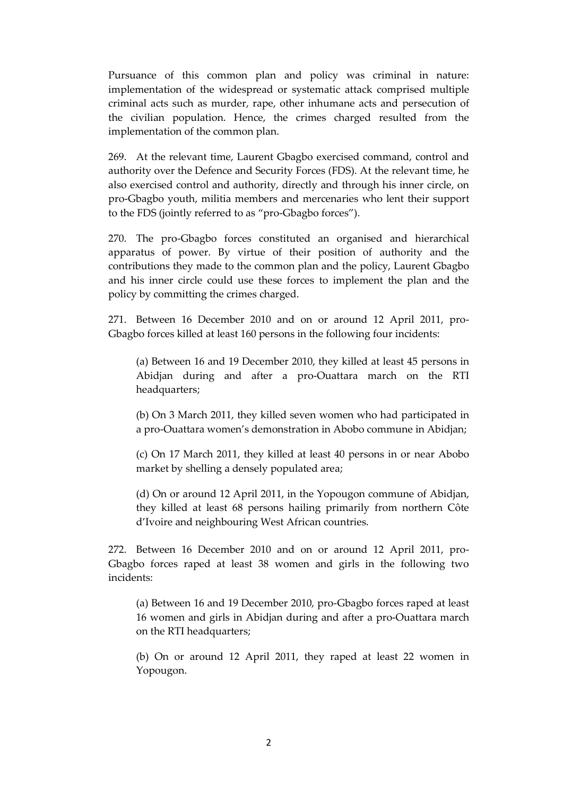Pursuance of this common plan and policy was criminal in nature: implementation of the widespread or systematic attack comprised multiple criminal acts such as murder, rape, other inhumane acts and persecution of the civilian population. Hence, the crimes charged resulted from the implementation of the common plan.

269. At the relevant time, Laurent Gbagbo exercised command, control and authority over the Defence and Security Forces (FDS). At the relevant time, he also exercised control and authority, directly and through his inner circle, on pro-Gbagbo youth, militia members and mercenaries who lent their support to the FDS (jointly referred to as "pro-Gbagbo forces").

270. The pro-Gbagbo forces constituted an organised and hierarchical apparatus of power. By virtue of their position of authority and the contributions they made to the common plan and the policy, Laurent Gbagbo and his inner circle could use these forces to implement the plan and the policy by committing the crimes charged.

271. Between 16 December 2010 and on or around 12 April 2011, pro-Gbagbo forces killed at least 160 persons in the following four incidents:

(a) Between 16 and 19 December 2010, they killed at least 45 persons in Abidjan during and after a pro-Ouattara march on the RTI headquarters;

(b) On 3 March 2011, they killed seven women who had participated in a pro-Ouattara women's demonstration in Abobo commune in Abidjan;

(c) On 17 March 2011, they killed at least 40 persons in or near Abobo market by shelling a densely populated area;

(d) On or around 12 April 2011, in the Yopougon commune of Abidjan, they killed at least 68 persons hailing primarily from northern Côte d'Ivoire and neighbouring West African countries.

272. Between 16 December 2010 and on or around 12 April 2011, pro-Gbagbo forces raped at least 38 women and girls in the following two incidents:

(a) Between 16 and 19 December 2010, pro-Gbagbo forces raped at least 16 women and girls in Abidjan during and after a pro-Ouattara march on the RTI headquarters;

(b) On or around 12 April 2011, they raped at least 22 women in Yopougon.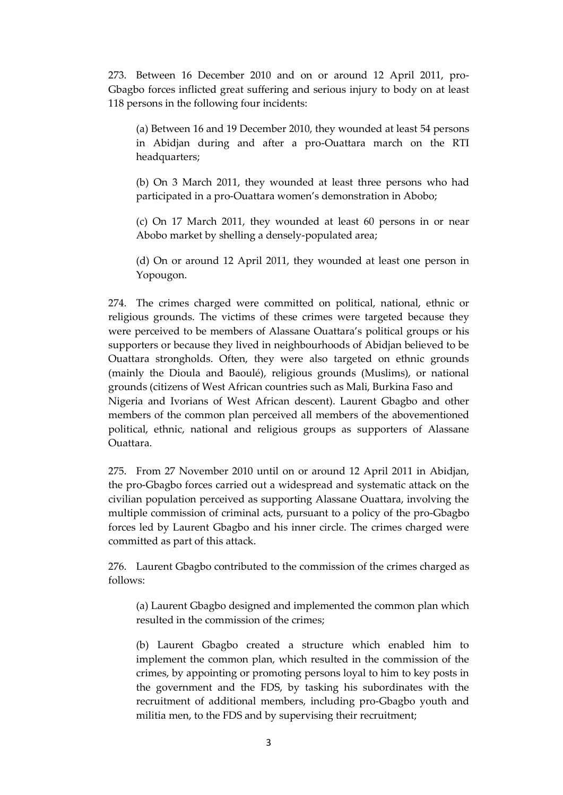273. Between 16 December 2010 and on or around 12 April 2011, pro-Gbagbo forces inflicted great suffering and serious injury to body on at least 118 persons in the following four incidents:

(a) Between 16 and 19 December 2010, they wounded at least 54 persons in Abidjan during and after a pro-Ouattara march on the RTI headquarters;

(b) On 3 March 2011, they wounded at least three persons who had participated in a pro-Ouattara women's demonstration in Abobo;

(c) On 17 March 2011, they wounded at least 60 persons in or near Abobo market by shelling a densely-populated area;

(d) On or around 12 April 2011, they wounded at least one person in Yopougon.

274. The crimes charged were committed on political, national, ethnic or religious grounds. The victims of these crimes were targeted because they were perceived to be members of Alassane Ouattara's political groups or his supporters or because they lived in neighbourhoods of Abidjan believed to be Ouattara strongholds. Often, they were also targeted on ethnic grounds (mainly the Dioula and Baoulé), religious grounds (Muslims), or national grounds (citizens of West African countries such as Mali, Burkina Faso and Nigeria and Ivorians of West African descent). Laurent Gbagbo and other members of the common plan perceived all members of the abovementioned political, ethnic, national and religious groups as supporters of Alassane Ouattara.

275. From 27 November 2010 until on or around 12 April 2011 in Abidjan, the pro-Gbagbo forces carried out a widespread and systematic attack on the civilian population perceived as supporting Alassane Ouattara, involving the multiple commission of criminal acts, pursuant to a policy of the pro-Gbagbo forces led by Laurent Gbagbo and his inner circle. The crimes charged were committed as part of this attack.

276. Laurent Gbagbo contributed to the commission of the crimes charged as follows:

(a) Laurent Gbagbo designed and implemented the common plan which resulted in the commission of the crimes;

(b) Laurent Gbagbo created a structure which enabled him to implement the common plan, which resulted in the commission of the crimes, by appointing or promoting persons loyal to him to key posts in the government and the FDS, by tasking his subordinates with the recruitment of additional members, including pro-Gbagbo youth and militia men, to the FDS and by supervising their recruitment;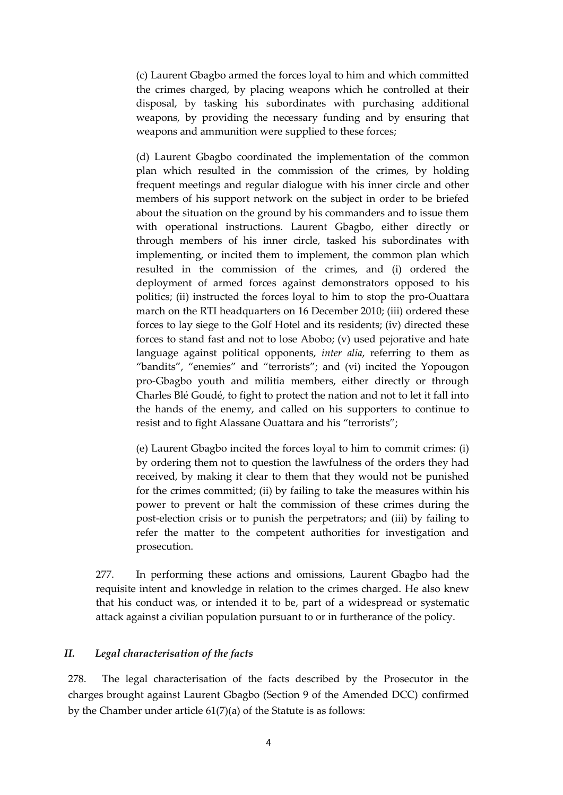(c) Laurent Gbagbo armed the forces loyal to him and which committed the crimes charged, by placing weapons which he controlled at their disposal, by tasking his subordinates with purchasing additional weapons, by providing the necessary funding and by ensuring that weapons and ammunition were supplied to these forces;

(d) Laurent Gbagbo coordinated the implementation of the common plan which resulted in the commission of the crimes, by holding frequent meetings and regular dialogue with his inner circle and other members of his support network on the subject in order to be briefed about the situation on the ground by his commanders and to issue them with operational instructions. Laurent Gbagbo, either directly or through members of his inner circle, tasked his subordinates with implementing, or incited them to implement, the common plan which resulted in the commission of the crimes, and (i) ordered the deployment of armed forces against demonstrators opposed to his politics; (ii) instructed the forces loyal to him to stop the pro-Ouattara march on the RTI headquarters on 16 December 2010; (iii) ordered these forces to lay siege to the Golf Hotel and its residents; (iv) directed these forces to stand fast and not to lose Abobo; (v) used pejorative and hate language against political opponents, *inter alia*, referring to them as "bandits", "enemies" and "terrorists"; and (vi) incited the Yopougon pro-Gbagbo youth and militia members, either directly or through Charles Blé Goudé, to fight to protect the nation and not to let it fall into the hands of the enemy, and called on his supporters to continue to resist and to fight Alassane Ouattara and his "terrorists";

(e) Laurent Gbagbo incited the forces loyal to him to commit crimes: (i) by ordering them not to question the lawfulness of the orders they had received, by making it clear to them that they would not be punished for the crimes committed; (ii) by failing to take the measures within his power to prevent or halt the commission of these crimes during the post-election crisis or to punish the perpetrators; and (iii) by failing to refer the matter to the competent authorities for investigation and prosecution.

277. In performing these actions and omissions, Laurent Gbagbo had the requisite intent and knowledge in relation to the crimes charged. He also knew that his conduct was, or intended it to be, part of a widespread or systematic attack against a civilian population pursuant to or in furtherance of the policy.

#### *II. Legal characterisation of the facts*

278. The legal characterisation of the facts described by the Prosecutor in the charges brought against Laurent Gbagbo (Section 9 of the Amended DCC) confirmed by the Chamber under article 61(7)(a) of the Statute is as follows: